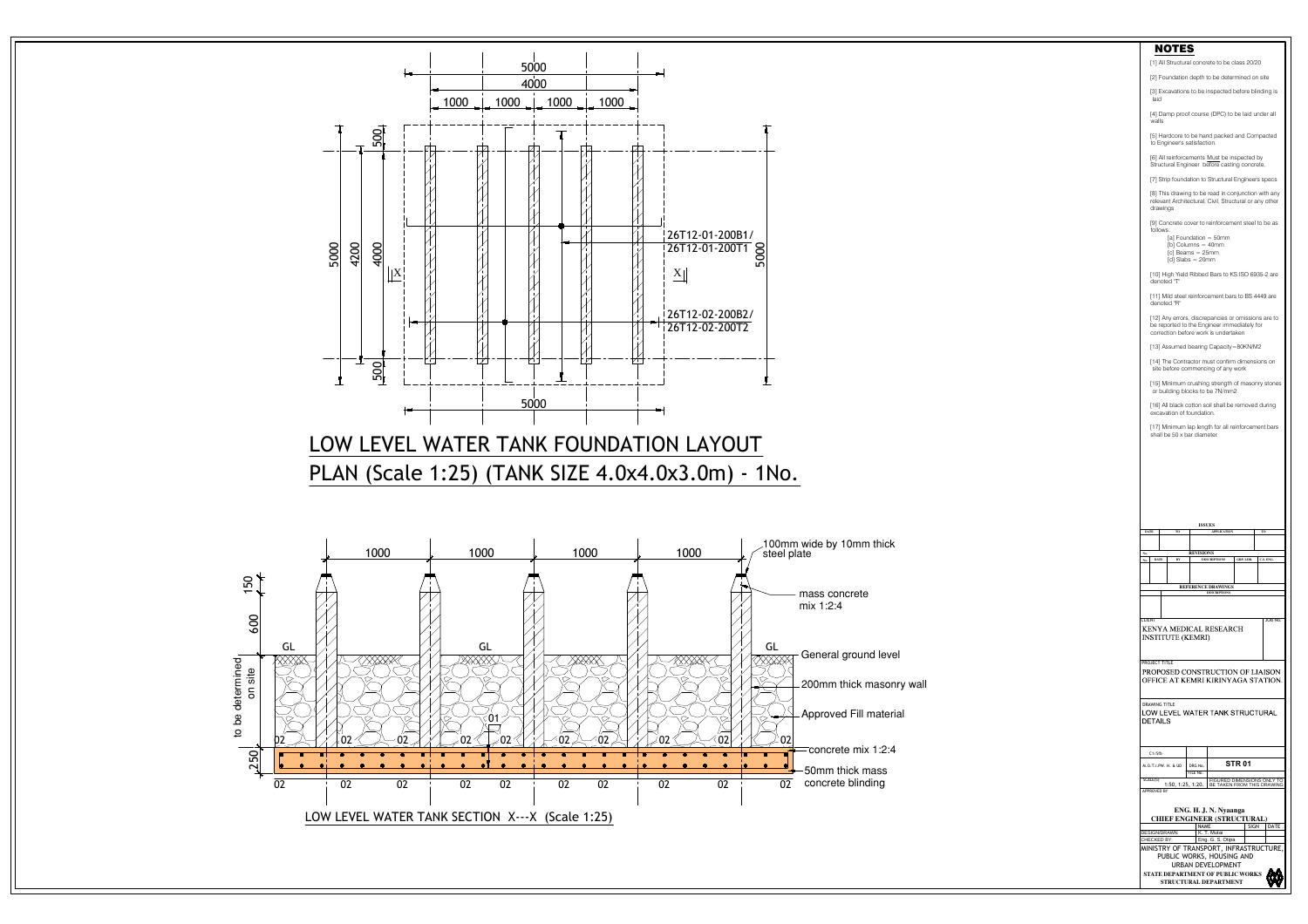

## LOW LEVEL WATER TANK FOUNDATION LAYOUT PLAN (Scale 1:25) (TANK SIZE 4.0x4.0x3.0m) - 1No.



**STATE DEPARTMENT OF PUBLIC WORKS STRUCTURAL DEPARTMENT**



## NOTES [1] All Structural concrete to be class 20/20 [2] Foundation depth to be determined on site [3] Excavations to be inspected before blinding is laid [4] Damp proof course (DPC) to be laid under all walls [5] Hardcore to be hand packed and Compacted to Engineer's satisfaction. [6] All reinforcements Must be inspected by Structural Engineer before casting concrete. [7] Strip foundation to Structural Engineers specs [8] This drawing to be read in conjunction with any relevant Architectural, Civil, Structural or any other drawings [9] Concrete cover to reinforcement steel to be as follows: [a] Foundation = 50mm [b] Columns = 40mm [c] Beams = 25mm [d] Slabs = 20mm [10] High Yield Ribbed Bars to KS:ISO 6935-2 are denoted "T" [11] Mild steel reinforcement bars to BS 4449 are denoted "R" [12] Any errors, discrepancies or omissions are to be reported to the Engineer immediately for correction before work is undertaken [13] Assumed bearing Capacity=80KN/M2 [14] The Contractor must confirm dimensions on site before commencing of any work [15] Minimum crushing strength of masonry stones or building blocks to be 7N/mm2 [16] All black cotton soil shall be removed during excavation of foundation. [17] Minimum lap length for all reinforcement bars shall be 50 x bar diameter **ISSUES TO APPLICATION TO DATE BY DESCRIPTIONS DATE No. No. GRP. LDR. C.S. ENG. REFERENCE DRAWINGS DESCRIPTIONS** CLIENT JOB No. **KENYA MEDICAL RESEARCH INSTITUTE (KEMRI) PROJECT TITLE** PROPOSED CONSTRUCTION OF LIAISON **OFFICE AT KEMRI KIRINYAGA STATION** DRAWING TITLE LOW LEVEL WATER TANK STRUCTURAL DETAILS C1/Sfb **STR 01**  $M.O.T.I.PW. H. \& CD \mid DRG No.$ FILE No. SCALE(S) FIGURED DIMENSIONS ONLY TO 1:50, 1:25, 1:20. BE TAKEN FROM THIS DRAWING APPROVED BY **ENG. H. J. N. NyaangaCHIEF ENGINEER (STRUCTURAL)** NAME | SIGN | DATE | | DESIGN/DRAWN | K. T. Mutai CHECKED BY: Eng. G. S. Otipa MINISTRY OF TRANSPORT, INFRASTRUCTURE, PUBLIC WORKS, HOUSING AND URBAN DEVELOPMENT